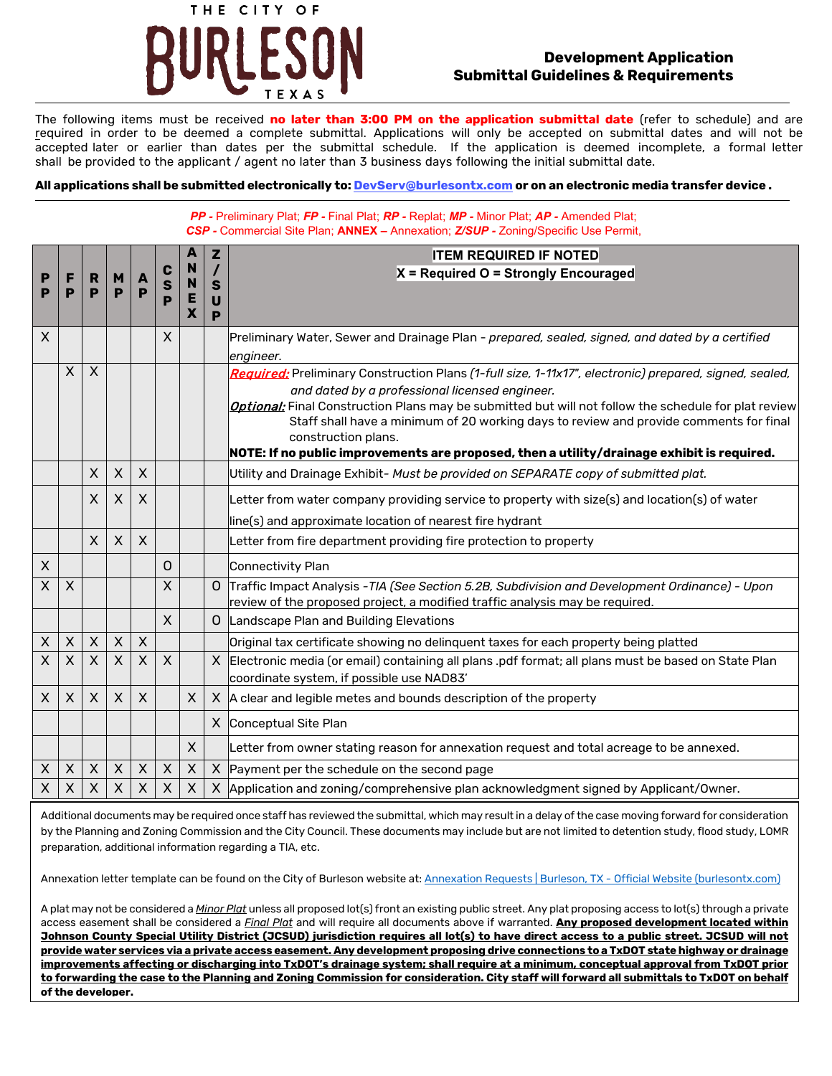

#### **Development Application Submittal Guidelines & Requirements**

The following items must be received **no later than 3:00 PM on the application submittal date** (refer to schedule) and are required in order to be deemed a complete submittal. Applications will only be accepted on submittal dates and will not be accepted later or earlier than dates per the submittal schedule. If the application is deemed incomplete, a formal letter shall be provided to the applicant / agent no later than 3 business days following the initial submittal date.

#### **All applications shall be submitted electronically to: DevServ@burlesontx.com or on an electronic media transfer device .**

*PP -* Preliminary Plat; *FP -* Final Plat; *RP -* Replat; *MP -* Minor Plat; *AP -* Amended Plat; *CSP -* Commercial Site Plan; **ANNEX –** Annexation; *Z/SUP -* Zoning/Specific Use Permit,

|                    |          |                |                |              |                           |                | $\mathbf{z}$                | <b>ITEM REQUIRED IF NOTED</b>                                                                                                                                                    |  |  |
|--------------------|----------|----------------|----------------|--------------|---------------------------|----------------|-----------------------------|----------------------------------------------------------------------------------------------------------------------------------------------------------------------------------|--|--|
| P                  |          | R              | M              | A            | C                         | N              |                             | X = Required O = Strongly Encouraged                                                                                                                                             |  |  |
| P                  | Р        | P              | P              | P            | S<br>P                    | N<br>Е         | $\mathbf{s}$<br>$\mathbf U$ |                                                                                                                                                                                  |  |  |
|                    |          |                |                |              |                           | X              | P                           |                                                                                                                                                                                  |  |  |
| $\mathsf X$        |          |                |                |              | $\times$                  |                |                             | Preliminary Water, Sewer and Drainage Plan - prepared, sealed, signed, and dated by a certified                                                                                  |  |  |
|                    |          |                |                |              |                           |                |                             | engineer.                                                                                                                                                                        |  |  |
|                    | $\times$ | $\sf X$        |                |              |                           |                |                             | Required: Preliminary Construction Plans (1-full size, 1-11x17", electronic) prepared, signed, sealed,                                                                           |  |  |
|                    |          |                |                |              |                           |                |                             | and dated by a professional licensed engineer.                                                                                                                                   |  |  |
|                    |          |                |                |              |                           |                |                             | Optional: Final Construction Plans may be submitted but will not follow the schedule for plat review                                                                             |  |  |
|                    |          |                |                |              |                           |                |                             | Staff shall have a minimum of 20 working days to review and provide comments for final<br>construction plans.                                                                    |  |  |
|                    |          |                |                |              |                           |                |                             | NOTE: If no public improvements are proposed, then a utility/drainage exhibit is required.                                                                                       |  |  |
|                    |          | $\mathsf{X}$   | $\times$       | $\sf X$      |                           |                |                             | Utility and Drainage Exhibit- Must be provided on SEPARATE copy of submitted plat.                                                                                               |  |  |
|                    |          | X              | X              | X            |                           |                |                             | Letter from water company providing service to property with size(s) and location(s) of water                                                                                    |  |  |
|                    |          |                |                |              |                           |                |                             | line(s) and approximate location of nearest fire hydrant                                                                                                                         |  |  |
|                    |          | $\mathsf{X}$   | $\times$       | $\sf X$      |                           |                |                             | Letter from fire department providing fire protection to property                                                                                                                |  |  |
| $\pmb{\mathsf{X}}$ |          |                |                |              | 0                         |                |                             | Connectivity Plan                                                                                                                                                                |  |  |
| $\mathsf{X}$       | $\times$ |                |                |              | $\times$                  |                |                             | O Traffic Impact Analysis - TIA (See Section 5.2B, Subdivision and Development Ordinance) - Upon<br>review of the proposed project, a modified traffic analysis may be required. |  |  |
|                    |          |                |                |              | $\mathsf{X}$              |                |                             | O Landscape Plan and Building Elevations                                                                                                                                         |  |  |
|                    |          |                | $\mathsf{X}$   |              |                           |                |                             |                                                                                                                                                                                  |  |  |
| $\mathsf X$        | $\times$ | $\mathsf{X}$   |                | $\mathsf{X}$ |                           |                |                             | Original tax certificate showing no delinquent taxes for each property being platted                                                                                             |  |  |
| $\times$           | $\times$ | $\times$       | $\sf X$        | X            | $\boldsymbol{\mathsf{X}}$ |                |                             | X Electronic media (or email) containing all plans .pdf format; all plans must be based on State Plan<br>coordinate system, if possible use NAD83'                               |  |  |
| X                  | $\times$ | $\mathsf{X}$   | $\sf X$        | $\mathsf{X}$ |                           | $\times$       |                             | $X$ $A$ clear and legible metes and bounds description of the property                                                                                                           |  |  |
|                    |          |                |                |              |                           |                |                             | X Conceptual Site Plan                                                                                                                                                           |  |  |
|                    |          |                |                |              |                           | $\mathsf{X}$   |                             | Letter from owner stating reason for annexation request and total acreage to be annexed.                                                                                         |  |  |
| $\mathsf X$        | $\times$ | $\pmb{\times}$ | $\pmb{\times}$ | $\mathsf{X}$ | $\pmb{\times}$            | $\times$       |                             | X Payment per the schedule on the second page                                                                                                                                    |  |  |
| $\sf X$            | X        | $\pmb{\times}$ | $\pmb{\times}$ | X            | $\pmb{\times}$            | $\pmb{\times}$ |                             | X Application and zoning/comprehensive plan acknowledgment signed by Applicant/Owner.                                                                                            |  |  |

Additional documents may be required once staff has reviewed the submittal, which may result in a delay of the case moving forward for consideration by the Planning and Zoning Commission and the City Council. These documents may include but are not limited to detention study, flood study, LOMR preparation, additional information regarding a TIA, etc.

Annexation letter template can be found on the City of Burleson website at[: Annexation Requests | Burleson, TX - Official Website \(burlesontx.com\)](https://www.burlesontx.com/1647/Annexation-Requests)

A plat may not be considered a *Minor Plat* unless all proposed lot(s) front an existing public street. Any plat proposing access to lot(s) through a private access easement shall be considered a *Final Plat* and will require all documents above if warranted. **Any proposed development located within Johnson County Special Utility District (JCSUD) jurisdiction requires all lot(s) to have direct access to a public street. JCSUD will not provide water services via a private access easement. Any development proposing drive connections to a TxDOT state highway or drainage improvements affecting or discharging into TxDOT's drainage system; shall require at a minimum, conceptual approval from TxDOT prior to forwarding the case to the Planning and Zoning Commission for consideration. City staff will forward all submittals to TxDOT on behalf of the developer.**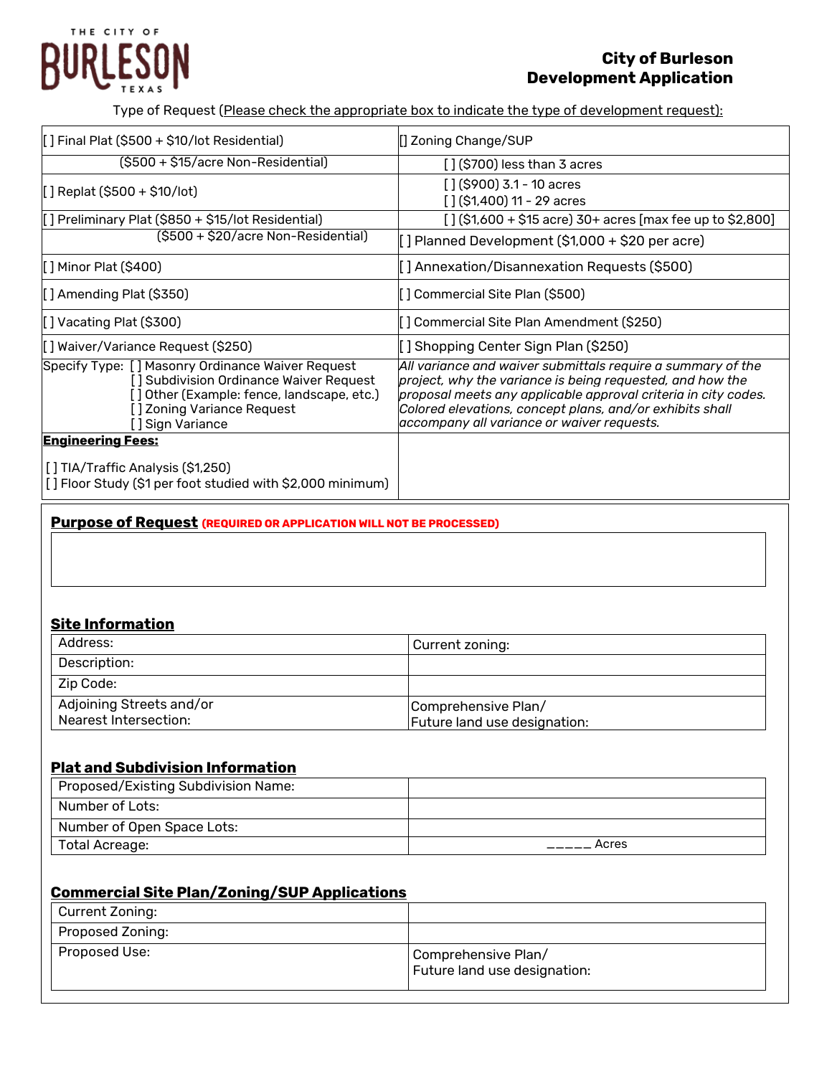# THE CITY OF URLESON

## **City of Burleson Development Application**

Type of Request (Please check the appropriate box to indicate the type of development request):

| [] Final Plat (\$500 + \$10/lot Residential)                                                                                                                                                  | [] Zoning Change/SUP                                                                                                                                                                                                                                                                                 |
|-----------------------------------------------------------------------------------------------------------------------------------------------------------------------------------------------|------------------------------------------------------------------------------------------------------------------------------------------------------------------------------------------------------------------------------------------------------------------------------------------------------|
| (\$500 + \$15/acre Non-Residential)                                                                                                                                                           | $\lceil$ (\$700) less than 3 acres                                                                                                                                                                                                                                                                   |
| $[$ ] Replat (\$500 + \$10/lot)                                                                                                                                                               | $\int$ $\int$ (\$900) 3.1 - 10 acres<br>$[ ]$ (\$1,400) 11 - 29 acres                                                                                                                                                                                                                                |
| [] Preliminary Plat (\$850 + \$15/lot Residential)                                                                                                                                            | $[ ]$ (\$1,600 + \$15 acre) 30+ acres [max fee up to \$2,800]                                                                                                                                                                                                                                        |
| (\$500 + \$20/acre Non-Residential)                                                                                                                                                           | [] Planned Development (\$1,000 + \$20 per acre)                                                                                                                                                                                                                                                     |
| [ ] Minor Plat (\$400)                                                                                                                                                                        | [] Annexation/Disannexation Requests (\$500)                                                                                                                                                                                                                                                         |
| [] Amending Plat (\$350)                                                                                                                                                                      | [] Commercial Site Plan (\$500)                                                                                                                                                                                                                                                                      |
| [] Vacating Plat (\$300)                                                                                                                                                                      | [ ] Commercial Site Plan Amendment (\$250)                                                                                                                                                                                                                                                           |
| [] Waiver/Variance Request (\$250)                                                                                                                                                            | [] Shopping Center Sign Plan (\$250)                                                                                                                                                                                                                                                                 |
| Specify Type: [] Masonry Ordinance Waiver Request<br>[] Subdivision Ordinance Waiver Request<br>[] Other (Example: fence, landscape, etc.)<br>[ ] Zoning Variance Request<br>[] Sign Variance | All variance and waiver submittals require a summary of the<br>project, why the variance is being requested, and how the<br>proposal meets any applicable approval criteria in city codes.<br>Colored elevations, concept plans, and/or exhibits shall<br>accompany all variance or waiver requests. |
| <b>Engineering Fees:</b>                                                                                                                                                                      |                                                                                                                                                                                                                                                                                                      |
| [ ] TIA/Traffic Analysis (\$1,250)<br>[] Floor Study (\$1 per foot studied with \$2,000 minimum)                                                                                              |                                                                                                                                                                                                                                                                                                      |

**Purpose of Request (REQUIRED OR APPLICATION WILL NOT BE PROCESSED)**

## **Site Information**

| Address:                                          | Current zoning:                                     |
|---------------------------------------------------|-----------------------------------------------------|
| Description:                                      |                                                     |
| Zip Code:                                         |                                                     |
| Adjoining Streets and/or<br>Nearest Intersection: | Comprehensive Plan/<br>Future land use designation: |

#### **Plat and Subdivision Information**

| Proposed/Existing Subdivision Name: |       |
|-------------------------------------|-------|
| Number of Lots:                     |       |
| Number of Open Space Lots:          |       |
| Total Acreage:                      | Acres |

### **Commercial Site Plan/Zoning/SUP Applications**

| Current Zoning:         |                                                     |
|-------------------------|-----------------------------------------------------|
| <b>Proposed Zoning:</b> |                                                     |
| Proposed Use:           | Comprehensive Plan/<br>Future land use designation: |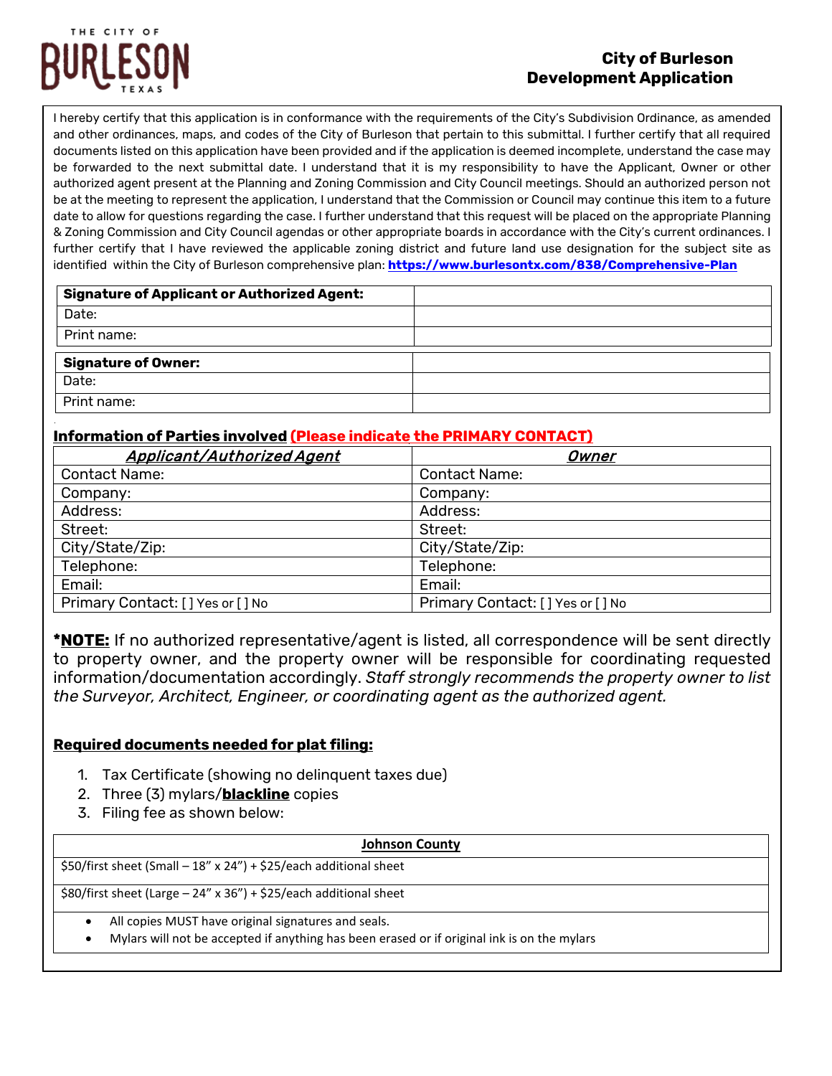

#### **City of Burleson Development Application**

I hereby certify that this application is in conformance with the requirements of the City's Subdivision Ordinance, as amended and other ordinances, maps, and codes of the City of Burleson that pertain to this submittal. I further certify that all required documents listed on this application have been provided and if the application is deemed incomplete, understand the case may be forwarded to the next submittal date. I understand that it is my responsibility to have the Applicant, Owner or other authorized agent present at the Planning and Zoning Commission and City Council meetings. Should an authorized person not be at the meeting to represent the application, I understand that the Commission or Council may continue this item to a future date to allow for questions regarding the case. I further understand that this request will be placed on the appropriate Planning & Zoning Commission and City Council agendas or other appropriate boards in accordance with the City's current ordinances. I further certify that I have reviewed the applicable zoning district and future land use designation for the subject site as identified within the City of Burleson comprehensive plan: **https://www.burlesontx.com/838/Comprehensive-Plan**

| <b>Signature of Applicant or Authorized Agent:</b> |  |
|----------------------------------------------------|--|
| Date:                                              |  |
| Print name:                                        |  |
|                                                    |  |
| <b>Signature of Owner:</b>                         |  |
| Date:                                              |  |

#### **Information of Parties involved (Please indicate the PRIMARY CONTACT)**

| <b>Applicant/Authorized Agent</b> | Owner                            |
|-----------------------------------|----------------------------------|
| <b>Contact Name:</b>              | <b>Contact Name:</b>             |
| Company:                          | Company:                         |
| Address:                          | Address:                         |
| Street:                           | Street:                          |
| City/State/Zip:                   | City/State/Zip:                  |
| Telephone:                        | Telephone:                       |
| Email:                            | Email:                           |
| Primary Contact: [] Yes or [] No  | Primary Contact: [] Yes or [] No |

**\*NOTE:** If no authorized representative/agent is listed, all correspondence will be sent directly to property owner, and the property owner will be responsible for coordinating requested information/documentation accordingly. *Staff strongly recommends the property owner to list the Surveyor, Architect, Engineer, or coordinating agent as the authorized agent.*

#### **Required documents needed for plat filing:**

- 1. Tax Certificate (showing no delinquent taxes due)
- 2. Three (3) mylars/**blackline** copies
- 3. Filing fee as shown below:

| <b>Johnson County</b>                                                                       |  |  |  |  |
|---------------------------------------------------------------------------------------------|--|--|--|--|
| \$50/first sheet (Small - 18" x 24") + \$25/each additional sheet                           |  |  |  |  |
| \$80/first sheet (Large - 24" x 36") + \$25/each additional sheet                           |  |  |  |  |
| All copies MUST have original signatures and seals.<br>$\bullet$                            |  |  |  |  |
| Mylars will not be accepted if anything has been erased or if original ink is on the mylars |  |  |  |  |